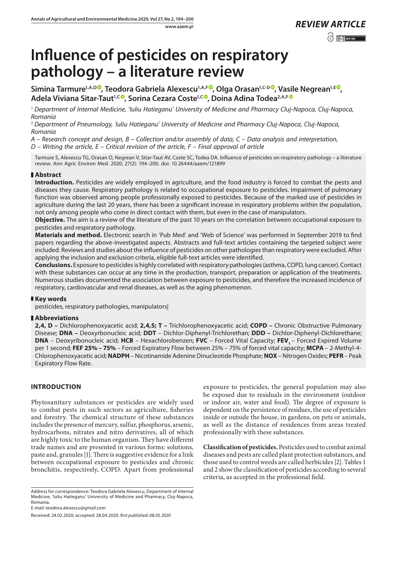# **Influence of pesticides on respiratory pathology – a literature review**

**Simina Tarmure<sup>1,A,[D](https://orcid.org/0000-0003-4435-142X)</sup><sup>®</sup>[,](https://orcid.org/0000-0002-6682-3849) Teodora Gabriela Alexescu<sup>1,A,F®</sup>, Olga Orasan<sup>1,C-D®</sup>, Vasile Negrean<sup>1,E®</sup>,** Adela Viviana Sitar-Taut<sup>1, [C](https://orcid.org/0000-0003-0400-7296)</sup><sup>O</sup>, Sorina Cezara Coste<sup>1, C</sup><sup>O</sup>, Doina Adina Todea<sup>2, A, [F](https://orcid.org/0000-0003-1306-2350)</sup><sup>O</sup>

<sup>1</sup> *Department of Internal Medicine, 'Iuliu Hatieganu' University of Medicine and Pharmacy Cluj-Napoca, Cluj-Napoca, Romania*

<sup>2</sup> Department of Pneumology, *'Iuliu Hatieganu' University of Medicine and Pharmacy Cluj-Napoca, Cluj-Napoca, Romania*

*A – Research concept and design, B – Collection and/or assembly of data, C – Data analysis and interpretation,* 

*D – Writing the article, E – Critical revision of the article, F – Final approval of article*

Tarmure S, Alexescu TG, Orasan O, Negrean V, Sitar-Taut AV, Coste SC, Todea DA. Influence of pesticides on respiratory pathology – a literature review. Ann Agric Environ Med. 2020; 27(2): 194–200. doi: 10.26444/aaem/121899

## **Abstract**

**Introduction.** Pesticides are widely employed in agriculture, and the food industry is forced to combat the pests and diseases they cause. Respiratory pathology is related to occupational exposure to pesticides. Impairment of pulmonary function was observed among people professionally exposed to pesticides. Because of the marked use of pesticides in agriculture during the last 20 years, there has been a significant increase in respiratory problems within the population, not only among people who come in direct contact with them, but even in the case of manipulators.

**Objective.** The aim is a review of the literature of the past 10 years on the correlation between occupational exposure to pesticides and respiratory pathology.

**Materials and method.** Electronic search in 'Pub Med' and 'Web of Science' was performed in September 2019 to find papers regarding the above-investigated aspects. Abstracts and full-text articles containing the targeted subject were included. Reviews and studies about the influence of pesticides on other pathologies than respiratory were excluded. After applying the inclusion and exclusion criteria, eligible full-text articles were identified.

**Conclusions.** Exposure to pesticides is highly correlated with respiratory pathologies (asthma, COPD, lung cancer). Contact with these substances can occur at any time in the production, transport, preparation or application of the treatments. Numerous studies documented the association between exposure to pesticides, and therefore the increased incidence of respiratory, cardiovascular and renal diseases, as well as the aging phenomenon.

## **Key words**

pesticides, respiratory pathologies, manipulators|

## **Abbreviations**

**2,4, D –** Dichlorophenoxyacetic acid; **2,4,5; T –** Trichlorophenoxyacetic acid; **COPD –** Chronic Obstructive Pulmonary Disease; **DNA –** Deoxyrbonucleic acid; **DDT** – Dichlor-Diphenyl-Trichlorethan; **DDD –** Dichlor-Diphenyl-Dichlorethane; **DNA** – Deoxyribonucleic acid; HCB – Hexachlorobenzen; FVC – Forced Vital Capacity; FEV, – Forced Expired Volume per 1 second; **FEF 25% – 75%** – Forced Expiratory Flow between 25% – 75% of forced vital capacity; **MCPA** – 2-Methyl-4- Chlorophenoxyacetic acid; **NADPH** – Nicotinamide Adenine Dinucleotide Phosphate; **NOX** – Nitrogen Oxides; **PEFR** – Peak Expiratory Flow Rate.

## **INTRODUCTION**

Phytosanitary substances or pesticides are widely used to combat pests in such sectors as agriculture, fisheries and forestry. The chemical structure of these substances includes the presence of mercury, sulfur, phosphorus, arsenic, hydrocarbons, nitrates and nitro derivatives, all of which are highly toxic to the human organism. They have different trade names and are presented in various forms: solutions, paste and, granules [1]. There is suggestive evidence for a link between occupational exposure to pesticides and chronic bronchitis, respectively, COPD. Apart from professional

Address for correspondence: Teodora Gabriela Alexescu, Department of Internal Medicine, 'Iuliu Hatieganu' University of Medicine and Pharmacy, Cluj-Napoca, Romania.

exposure to pesticides, the general population may also be exposed due to residuals in the environment (outdoor or indoor air, water and food). The degree of exposure is dependent on the persistence of residues, the use of pesticides inside or outside the house, in gardens, on pets or animals, as well as the distance of residences from areas treated professionally with these substances.

**Classification of pesticides.** Pesticides used to combat animal diseases and pests are called plant protection substances, and those used to control weeds are called herbicides [2]. Tables 1 and 2 show the classification of pesticides according to several criteria, as accepted in the professional field.

E-mail: teodora.alexescu@gmail.com

Received: 24.02.2020; accepted: 28.04.2020; *first published: 08.05.2020*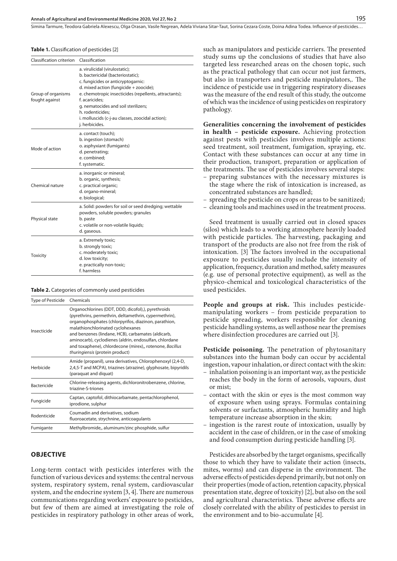#### **Annals of Agricultural and Environmental Medicine 2020, Vol 27, No 2** 195

Simina Tarmure, Teodora Gabriela Alexescu, Olga Orasan, Vasile Negrean, Adela Viviana Sitar-Taut, Sorina Cezara Coste, Doina Adina Todea . Influence of pesticides…

#### **Table 1.** Classification of pesticides [2]

| Classification criterion             | Classification                                                                                                                                                                                                                                                                                                                                                    |
|--------------------------------------|-------------------------------------------------------------------------------------------------------------------------------------------------------------------------------------------------------------------------------------------------------------------------------------------------------------------------------------------------------------------|
| Group of organisms<br>fought against | a. virulicidal (virulostatic);<br>b. bactericidal (bacteriostatic);<br>c. fungicides or anticryptogarnic:<br>d. mixed action (fungicide + zoocide);<br>e. chemotropic insecticides (repellents, attractants);<br>f. acaricides:<br>g. nematocides and soil sterilizers;<br>h. rodenticides:<br>i. molluscids (c-j-au classes, zoocidal action);<br>j. herbicides. |
| Mode of action                       | a. contact (touch);<br>b. ingestion (stomach)<br>o. asphyxiant (fumigants)<br>d. penetrating;<br>e. combined:<br>f. systematic.                                                                                                                                                                                                                                   |
| Chemical nature                      | a. inorganic or mineral;<br>b. organic, synthesis;<br>c. practical organic;<br>d. organo-mineral;<br>e. biological;                                                                                                                                                                                                                                               |
| Physical state                       | a. Solid: powders for soil or seed dredging; wettable<br>powders, soluble powders; granules<br>b. paste<br>c. volatile or non-volatile liquids;<br>d. gaseous.                                                                                                                                                                                                    |
| <b>Toxicity</b>                      | a. Extremely toxic;<br>b. strongly toxic;<br>c. moderately toxic;<br>d. low toxicity;<br>e. practically non-toxic;<br>f. harmless                                                                                                                                                                                                                                 |

| <b>Table 2.</b> Categories of commonly used pesticides |  |  |  |
|--------------------------------------------------------|--|--|--|
|--------------------------------------------------------|--|--|--|

| Type of Pesticide  | Chemicals                                                                                                                                                                                                                                                                                                                                                                                                               |
|--------------------|-------------------------------------------------------------------------------------------------------------------------------------------------------------------------------------------------------------------------------------------------------------------------------------------------------------------------------------------------------------------------------------------------------------------------|
| Insecticide        | Organochlorines (DDT, DDD, dicofol),), pyrethroids<br>(pyrethrins, permethrin, deltamethrin, cypermethrin),<br>organophosphates (chlorpyrifos, diazinon, parathion,<br>malathionchlorinated cyclohexanes<br>and benzenes (lindane, HCB), carbamates (aldicarb,<br>aminocarb), cyclodienes (aldrin, endosulfan, chlordane<br>and toxaphene), chlordecone (mirex),, rotenone, Bacillus<br>thuringiensis (protein product) |
| Herbicide          | Amide (propanil), urea derivatives, Chlorophenoxyl (2,4-D,<br>2,4,5-T and MCPA), triazines (atrazine), glyphosate, bipyridils<br>(paraquat and diquat)                                                                                                                                                                                                                                                                  |
| <b>Bactericide</b> | Chlorine-releasing agents, dichloronitrobenzene, chlorine,<br>triazine-S-triones                                                                                                                                                                                                                                                                                                                                        |
| Fungicide          | Captan, captofol, dithiocarbamate, pentachlorophenol,<br>iprodione, sulphur                                                                                                                                                                                                                                                                                                                                             |
| Rodenticide        | Coumadin and derivatives, sodium<br>fluoroacetate, strychnine, anticoagulants                                                                                                                                                                                                                                                                                                                                           |
| Fumigante          | Methylbromide,, aluminum/zinc phosphide, sulfur                                                                                                                                                                                                                                                                                                                                                                         |

#### **OBJECTIVE**

Long-term contact with pesticides interferes with the function of various devices and systems: the central nervous system, respiratory system, renal system, cardiovascular system, and the endocrine system [3, 4]. There are numerous communications regarding workers' exposure to pesticides, but few of them are aimed at investigating the role of pesticides in respiratory pathology in other areas of work,

such as manipulators and pesticide carriers. The presented study sums up the conclusions of studies that have also targeted less researched areas on the chosen topic, such as the practical pathology that can occur not just farmers, but also in transporters and pesticide manipulators,. The incidence of pesticide use in triggering respiratory diseases was the measure of the end result of this study, the outcome of which was the incidence of using pesticides on respiratory pathology.

**Generalities concerning the involvement of pesticides in health – pesticide exposure.** Achieving protection against pests with pesticides involves multiple actions: seed treatment, soil treatment, fumigation, spraying, etc. Contact with these substances can occur at any time in their production, transport, preparation or application of the treatments. The use of pesticides involves several steps:

- preparing substances with the necessary mixtures is the stage where the risk of intoxication is increased, as concentrated substances are handled;
- spreading the pesticide on crops or areas to be sanitized;
- cleaning tools and machines used in the treatment process.

Seed treatment is usually carried out in closed spaces (silos) which leads to a working atmosphere heavily loaded with pesticide particles. The harvesting, packaging and transport of the products are also not free from the risk of intoxication. [3] The factors involved in the occupational exposure to pesticides usually include the intensity of application, frequency, duration and method, safety measures (e.g. use of personal protective equipment), as well as the physico-chemical and toxicological characteristics of the used pesticides.

**People and groups at risk.** This includes pesticidemanipulating workers – from pesticide preparation to pesticide spreading, workers responsible for cleaning pesticide handling systems, as well asthose near the premises where disinfection procedures are carried out [3].

**Pesticide poisoning.** The penetration of phytosanitary substances into the human body can occur by accidental ingestion, vapour inhalation, or direct contact with the skin:

- inhalation poisoning is an important way, as the pesticide reaches the body in the form of aerosols, vapours, dust or mist;
- contact with the skin or eyes is the most common way of exposure when using sprays. Formulas containing solvents or surfactants, atmospheric humidity and high temperature increase absorption in the skin;
- ingestion is the rarest route of intoxication, usually by accident in the case of children, or in the case of smoking and food consumption during pesticide handling [3].

Pesticides are absorbed by the target organisms, specifically those to which they have to validate their action (insects, mites, worms) and can disperse in the environment. The adverse effects of pesticides depend primarily, but not only on their properties (mode of action, retention capacity, physical presentation state, degree of toxicity) [2], but also on the soil and agricultural characteristics. These adverse effects are closely correlated with the ability of pesticides to persist in the environment and to bio-accumulate [4].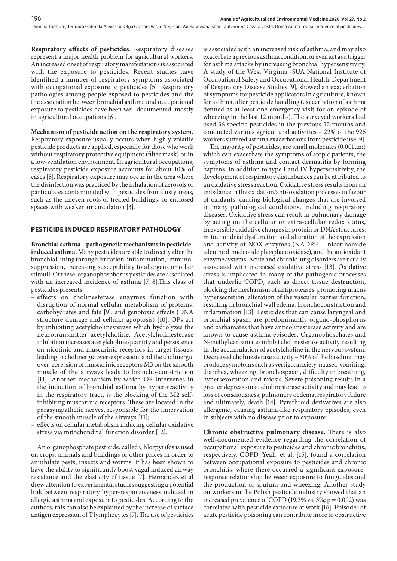Simina Tarmure, Teodora Gabriela Alexescu, Olga Orasan, Vasile Negrean, Adela Viviana Sitar-Taut, Sorina Cezara Coste, Doina Adina Todea, Influence of pesticides...

**Respiratory effects of pesticides**. Respiratory diseases represent a major health problem for agricultural workers. An increased onset of respiratory manifestations is associated with the exposure to pesticides. Recent studies have identified a number of respiratory symptoms associated with occupational exposure to pesticides [5]. Respiratory pathologies among people exposed to pesticides and the the association between bronchial asthma and occupational exposure to pesticides have been well documented, mostly in agricultural occupations [6].

**Mechanism of pesticide action on the respiratory system.**  Respiratory exposure usually occurs when highly volatile pesticide products are applied, especially for those who work without respiratory protective equipment (filter mask) or in a low-ventilation environment. In agricultural occupations, respiratory pesticide exposure accounts for about 10% of cases [5]. Respiratory exposure may occur in the area where the disinfection was practiced by the inhalation of aerosols or particulates contaminated with pesticides from dusty areas, such as the uneven roofs of treated buildings, or enclosed

#### **PESTICIDE INDUCED RESPIRATORY PATHOLOGY**

spaces with weaker air circulation [3].

**Bronchial asthma – pathogenetic mechanisms in pesticideinduced asthma.** Many pesticides are able to directly alter the bronchial lining through irritation, inflammation, immunosuppression, increasing susceptibility to allergens or other stimuli. Of these, organophosphorus pesticides are associated with an increased incidence of asthma [7, 8].This class of pesticides presents:

- effects on cholinesterase enzymes function with disruption of normal cellular metabolism of proteins, carbohydrates and fats [9], and genotoxic effects (DNA structure damage and cellular apoptosis) [10]. OPs act by inhibiting acetylcholinesterase which hydrolyzes the neurotransmitter acetylcholine. Acetylcholinesterase inhibition increases acetylcholine quantity and persistence on nicotinic and muscarinic receptors in target tissues, leading to cholinergic over-expression, and the cholinergic over-epression of muscarinic receptors M3 on the smooth muscle of the airways leads to broncho-constriction [11]. Another mechanism by which OP intervenes in the induction of bronchial asthma by hyper-reactivity in the respiratory tract, is the blocking of the M2 selfinhibiting muscarinic receptors. These are located in the parasympathetic nerves, responsible for the innervation of the smooth muscle of the airways [11];
- effects on cellular metabolism inducing cellular oxidative stress via mitochondrial function disorder [12].

An organophosphate pesticide, called Chlorpyrifos is used on crops, animals and buildings or other places in order to annihilate pests, insects and worms. It has been shown to have the ability to significantly boost vagal induced airway resistance and the elasticity of tissue [7]. Hernandez et al drew attention to experimental studies suggesting a potential link between respiratory hyper-responsiveness induced in allergic asthma and exposure to pesticides. According to the authors, this can also be explained by the increase of surface antigen expression of T lymphocytes [7]. The use of pesticides is associated with an increased risk of asthma, and may also exacerbate a previous asthma condition, or even act as a trigger for asthma attacks by increasing bronchial hypersensitivity. A study of the West Virginia -SUA National Institute of Occupational Safety and Occupational Health, Department of Respiratory Disease Studies [9], showed an exacerbation of symptoms for pesticide applicators in agriculture, known for asthma, after pesticide handling (exacerbation of asthma defined as at least one emergency visit for an episode of wheezing in the last 12 months). The surveyed workers had used 36 specific pesticides in the previous 12 months and conducted various agricultural activities – 22% of the 926 workers suffered asthma exacerbations from pesticide use [9].

The majority of pesticides, are small molecules  $(0.001 \mu m)$ which can exacerbate the symptoms of atopic patients, the symptoms of asthma and contact dermatitis by forming haptens. In addition to type I and IV hypersensitivity, the development of respiratory disturbances can be attributed to an oxidative stress reaction. Oxidative stress results from an imbalance in the oxidation/anti-oxidation processes in favour of oxidants, causing biological changes that are involved in many pathological conditions, including respiratory diseases. Oxidative stress can result in pulmonary damage by acting on the cellular or extra-cellular redox status, irreversible oxidative changes in protein or DNA structures, mitochondrial dysfunction and alteration of the expression and activity of NOX enzymes (NADPH – nicotinamide adenine dinucleotide phosphate oxidase), and the antioxidant enzyme systems. Acute and chronic lung disorders are usually associated with increased oxidative stress [13]. Oxidative stress is implicated in many of the pathogenic processes that underlie COPD, such as direct tissue destruction, blocking the mechanism of antiproteases, promoting mucus hypersecretion, alteration of the vascular barrier function, resulting in bronchial wall edema, bronchoconstriction and inflammation [13]. Pesticides that can cause laryngeal and bronchial spasm are predominantly organo-phosphorus and carbamates that have anticolinesterase activity and are known to cause asthma episodes. Organophosphates and N-methyl carbamates inhibit cholinesterase activity, resulting in the accumulation of acetylcholine in the nervous system. Decreased cholinesterase activity – 60% of the baseline, may produce symptoms such as vertigo, anxiety, nausea, vomiting, diarrhea, wheezing, bronchospasm, difficulty in breathing, hypersexorption and miosis. Severe poisoning results in a greater depression of cholinesterase activity and may lead to loss of consciousness, pulmonary oedema, respiratory failure and ultimately, death [14]. Pyrethroid derivatives are also allergenic, causing asthma-like respiratory episodes, even in subjects with no disease prior to exposure.

**Chronic obstructive pulmonary disease.** There is also well-documented evidence regarding the correlation of occupational exposure to pesticides and chronic bronchitis, respectively, COPD. Yeah, et al. [15]. found a correlation between occupational exposure to pesticides and chronic bronchitis, where there occurred a significant exposureresponse relationship between exposure to fungicides and the production of sputum and wheezing. Another study on workers in the Polish pesticide industry showed that an increased prevalence of COPD (19.3% vs. 3%;  $p = 0.002$ ) was correlated with pesticide exposure at work [16]. Episodes of acute pesticide poisoning can contribute more to obstructive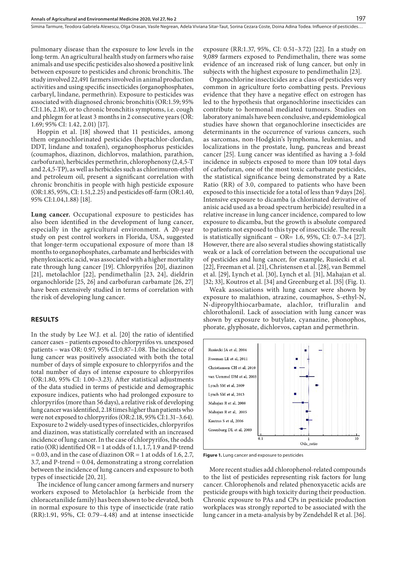pulmonary disease than the exposure to low levels in the long-term. An agricultural health study on farmers who raise animals and use specific pesticides also showed a positive link between exposure to pesticides and chronic bronchitis. The study involved 22,491 farmers involved in animal production activities and using specific insecticides (organophosphates, carbaryl, lindane, permethrin). Exposure to pesticides was associated with diagnosed chronic bronchitis (OR:1.59; 95% CI:1.16, 2.18), or to chronic bronchitis symptoms, i.e. cough and phlegm for at least 3 months in 2 consecutive years (OR: 1.69; 95% CI: 1.42, 2.01) [17].

Hoppin et al. [18] showed that 11 pesticides, among them organochlorinated pesticides (heptachlor-clordan, DDT, lindane and toxafen), organophosphorus pesticides (coumaphos, diazinon, dichlorvos, malathion, parathion, carbofuran), herbicides permethrin, chlorophenoxy (2,4,5-T and 2,4,5-TP), as well as herbicides such as chlorimuron-ethyl and petroleum oil, present a significant correlation with chronic bronchitis in people with high pesticide exposure (OR:1.85, 95%, CI: 1.51,2.25) and pesticides off-farm (OR:1.40, 95% CI:1.04,1.88) [18].

**Lung cancer.** Occupational exposure to pesticides has also been identified in the development of lung cancer, especially in the agricultural environment. A 20-year study on pest control workers in Florida, USA, suggested that longer-term occupational exposure of more than 18 months to organophosphates, carbamate and herbicides with phenyloxiacetic acid, was associated with a higher mortality rate through lung cancer [19]. Chlorpyrifos [20], diazinon [21], metolachlor [22], pendimethalin [23, 24], dieldrin organochloride [25, 26] and carbofuran carbamate [26, 27] have been extensively studied in terms of correlation with the risk of developing lung cancer.

#### **RESULTS**

In the study by Lee W.J. et al. [20] the ratio of identified cancer cases – patients exposed to chlorpyrifos vs. unexposed patients – was OR: 0.97, 95% CI:0.87–1.08. The incidence of lung cancer was positively associated with both the total number of days of simple exposure to chlorpyrifos and the total number of days of intense exposure to chlorpyrifos (OR:1.80, 95% CI: 1.00–3.23). After statistical adjustments of the data studied in terms of pesticide and demographic exposure indices, patients who had prolonged exposure to chlorpyrifos (more than 56 days), a relative risk of developing lung cancer was identified, 2.18 times higher than patients who were not exposed to chlorpyrifos (OR:2.18, 95% CI:1.31–3.64). Exposure to 2 widely-used types of insecticides, chlorpyrifos and diazinon, was statistically correlated with an increased incidence of lung cancer. In the case of chlorpyrifos, the odds ratio (OR) identified OR = 1 at odds of 1.1, 1.7, 1.9 and P-trend  $= 0.03$ , and in the case of diazinon OR  $= 1$  at odds of 1.6, 2.7, 3.7, and P-trend = 0.04, demonstrating a strong correlation between the incidence of lung cancers and exposure to both types of insecticide [20, 21].

The incidence of lung cancer among farmers and nursery workers exposed to Metolachlor (a herbicide from the chloracetanilide family) has been shown to be elevated, both in normal exposure to this type of insecticide (rate ratio (RR):1.91, 95%, CI: 0.79–4.48) and at intense insecticide

exposure (RR:1.37, 95%, CI: 0.51–3.72) [22]. In a study on 9,089 farmers exposed to Pendimethalin, there was some evidence of an increased risk of lung cancer, but only in subjects with the highest exposure to pendimethalin [23].

Organochlorine insecticides are a class of pesticides very common in agriculture forto combatting pests. Previous evidence that they have a negative effect on estrogen has led to the hypothesis that organochlorine insecticides can contribute to hormonal mediated tumours. Studies on laboratory animals have been conclusive, and epidemiological studies have shown that organochlorine insecticides are determinants in the occurrence of various cancers, such as sarcomas, non-Hodgkin's lymphoma, leukemias, and localizations in the prostate, lung, pancreas and breast cancer [25]. Lung cancer was identified as having a 3-fold incidence in subjects exposed to more than 109 total days of carbofuran, one of the most toxic carbamate pesticides, the statistical significance being demonstrated by a Rate Ratio (RR) of 3.0, compared to patients who have been exposed to this insecticide for a total of less than 9 days [26]. Intensive exposure to dicamba (a chlorinated derivative of anisic acid used as a broad spectrum herbicide) resulted in a relative increase in lung cancer incidence, compared to low exposure to dicamba, but the growth is absolute compared to patients not exposed to this type of insecticide. The result is statistically significant – OR=  $1.6$ , 95%, CI: 0.7–3.4 [27]. However, there are also several studies showing statistically weak or a lack of correlation between the occupational use of pesticides and lung cancer, for example, Rusiecki et al. [22], Freeman et al. [21], Christensen et al. [28], van Bemmel et al. [29], Lynch et al. [30], Lynch et al. [31], Mahajan et al. [32; 33], Koutros et al. [34] and Greenburg et al. [35] (Fig. 1).

Weak associations with lung cancer were shown by exposure to malathion, atrazine, coumaphos, S-ethyl-N, N-dipropylthiocarbamate, alachlor, trifluralin and chlorothalonil. Lack of association with lung cancer was shown by exposure to butylate, cyanazine, phonophos, phorate, glyphosate, dichlorvos, captan and permethrin.



**Figure 1.** Lung cancer and exposure to pesticides

More recent studies add chlorophenol-related compounds to the list of pesticides representing risk factors for lung cancer. Chlorophenols and related phenoxyacetic acids are pesticide groups with high toxicity during their production. Chronic exposure to PAs and CPs in pesticide production workplaces was strongly reported to be associated with the lung cancer in a meta-analysis by by Zendehdel R et al. [36].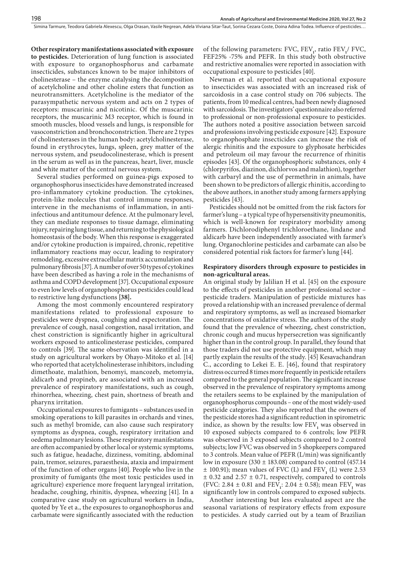**Other respiratory manifestations associated with exposure to pesticides.** Deterioration of lung function is associated with exposure to organophosphorus and carbamate insecticides, substances known to be major inhibitors of cholinesterase – the enzyme catalysing the decomposition of acetylcholine and other choline esters that function as neurotransmitters. Acetylcholine is the mediator of the parasympathetic nervous system and acts on 2 types of receptors: muscarinic and nicotinic. Of the muscarinic receptors, the muscarinic M3 receptor, which is found in smooth muscles, blood vessels and lungs, is responsible for vasoconstriction and bronchoconstriction. There are 2 types of cholinesterases in the human body: acetylcholinesterase, found in erythrocytes, lungs, spleen, grey matter of the nervous system, and pseudocolinesterase, which is present in the serum as well as in the pancreas, heart, liver, muscle and white matter of the central nervous system.

Several studies performed on guinea-pigs exposed to organophosphorus insecticides have demonstrated increased pro-inflammatory cytokine production. The cytokines, protein-like molecules that control immune responses, intervene in the mechanisms of inflammation, in antiinfectious and antitumour defence. At the pulmonary level, they can mediate responses to tissue damage, eliminating injury, repairing lung tissue, and returning to the physiological homeostasis of the body. When this response is exaggerated and/or cytokine production is impaired, chronic, repetitive inflammatory reactions may occur, leading to respiratory remodeling, excessive extracellular matrix accumulation and pulmonary fibrosis [37]. A number of over 50 types of cytokines have been described as having a role in the mechanisms of asthma and COPD development [37]. Occupational exposure to even low levels of organophosphorus pesticides could lead to restrictive lung dysfunctions **[38].**

Among the most commonly encountered respiratory manifestations related to professional exposure to pesticides were dyspnea, coughing and expectoration. The prevalence of cough, nasal congestion, nasal irritation, and chest constriction is significantly higher in agricultural workers exposed to anticolinesterase pesticides, compared to controls [39]. The same observation was identified in a study on agricultural workers by Ohayo-Mitoko et al. [14] who reported that acetylcholinesterase inhibitors, including dimethoate, malathion, benomyi, mancozeb, metomyia, aldicarb and propineb, are associated with an increased prevalence of respiratory manifestations, such as cough, rhinorrhea, wheezing, chest pain, shortness of breath and pharynx irritation.

Occupational exposures to fumigants – substances used in smoking operations to kill parasites in orchards and vines, such as methyl bromide, can also cause such respiratory symptoms as dyspnea, cough, respiratory irritation and oedema pulmonary lesions. These respiratory manifestations are often accompanied by other local or systemic symptoms, such as fatigue, headache, dizziness, vomiting, abdominal pain, tremor, seizures, paraesthesia, ataxia and impairment of the function of other organs [40]. People who live in the proximity of fumigants (the most toxic pesticides used in agriculture) experience more frequent laryngeal irritation, headache, coughing, rhinitis, dyspnea, wheezing [41]. In a comparative case study on agricultural workers in India, quoted by Ye et a., the exposures to organophosphorus and carbamate were significantly associated with the reduction

of the following parameters: FVC,  $FEV_1$ , ratio  $FEV_1$ / FVC, FEF25% -75% and PEFR. In this study both obstructive and restrictive anomalies were reported in association with occupational exposure to pesticides [40].

Newman et al. reported that occupational exposure to insecticides was associated with an increased risk of sarcoidosis in a case control study on 706 subjects. The patients, from 10 medical centres, had been newly diagnosed with sarcoidosis. The investigators' questionnaire also referred to professional or non-professional exposure to pesticides. The authors noted a positive association between sarcoid and professions involving pesticide exposure [42]. Exposure to organophosphate insecticides can increase the risk of alergic rhinitis and the exposure to glyphosate herbicides and petroleum oil may favour the recurrence of rhinitis episodes [43]. Of the organophosphoric substances, only 4 (chlorpyrifos, diazinon, dichlorvos and malathion), together with carbaryl and the use of permethrin in animals, have been shown to be predictors of allergic rhinitis, according to the above authors, in another study among farmers applying pesticides [43].

Pesticides should not be omitted from the risk factors for farmer's lung – a typical type of hypersensitivity pneumonitis, which is well-known for respiratory morbidity among farmers. Dichlorodiphenyl trichloroethane, lindane and aldicarb have been independently associated with farmer's lung. Organochlorine pesticides and carbamate can also be considered potential risk factors for farmer's lung [44].

### **Respiratory disorders through exposure to pesticides in non-agricultural areas.**

An original study by Jalilian H et al. [45] on the exposure to the effects of pesticides in another professional sector – pesticide traders. Manipulation of pesticide mixtures has proved a relationship with an increased prevalence of dermal and respiratory symptoms, as well as increased biomarker concentrations of oxidative stress. The authors of the study found that the prevalence of wheezing, chest constriction, chronic cough and mucus hypersecretion was significantly higher than in the control group. In parallel, they found that those traders did not use protective equipment, which may partly explain the results of the study. [45] Kesavachandran C., according to Lekei E. E. [46], found that respiratory distress occurred 8 times more frequently in pesticide retailers compared to the general population. The significant increase observed in the prevalence of respiratory symptoms among the retailers seems to be explained by the manipulation of organophosphorus compounds – one of the most widely-used pesticide categories. They also reported that the owners of the pesticide stores had a significant reduction in spirometric indice, as shown by the results: low  $FEV_1$  was observed in 10 exposed subjects compared to 6 controls; low PEFR was observed in 3 exposed subjects compared to 2 control subjects; low FVC was observed in 5 shopkeepers compared to 3 controls. Mean value of PEFR (L/min) was significantly low in exposure (330  $\pm$  183.08) compared to control (457.14  $\pm$  100.91); mean values of FVC (L) and FEV<sub>1</sub> (L) were 2.53  $\pm$  0.32 and 2.57  $\pm$  0.71, respectively, compared to controls (FVC: 2.84  $\pm$  0.81 and FEV<sub>1</sub>: 2.04  $\pm$  0.58); mean FEV<sub>1</sub> was significantly low in controls compared to exposed subjects.

Another interesting but less evaluated aspect are the seasonal variations of respiratory effects from exposure to pesticides. A study carried out by a team of Brazilian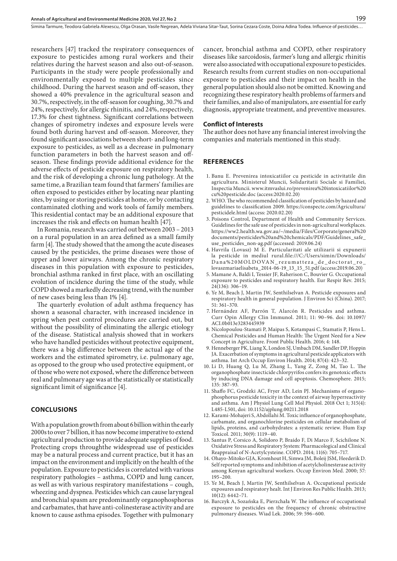Simina Tarmure, Teodora Gabriela Alexescu, Olga Orasan, Vasile Negrean, Adela Viviana Sitar-Taut, Sorina Cezara Coste, Doina Adina Todea . Influence of pesticides…

researchers [47] tracked the respiratory consequences of exposure to pesticides among rural workers and their relatives during the harvest season and also out-of-season. Participants in the study were people professionally and environmentally exposed to multiple pesticides since childhood. During the harvest season and off-season, they showed a 40% prevalence in the agricultural season and 30.7%, respectively, in the off-season for coughing, 30.7% and 24%, respectively, for allergic rhinitis, and 24%, respectively, 17.3% for chest tightness. Significant correlations between changes of spirometry indexes and exposure levels were found both during harvest and off-season. Moreover, they found significant associations between short- and long-term exposure to pesticides, as well as a decrease in pulmonary function parameters in both the harvest season and offseason. These findings provide additional evidence for the adverse effects of pesticide exposure on respiratory health, and the risk of developing a chronic lung pathology. At the same time, a Brazilian team found that farmers' families are often exposed to pesticides either by locating near planting sites, by using or storing pesticides at home, or by contacting contaminated clothing and work tools of family members. This residential contact may be an additional exposure that increases the risk and effects on human health [47].

In Romania, research was carried out between 2003 – 2013 on a rural population in an area defined as a small family farm [4]. The study showed that the among the acute diseases caused by the pesticides, the prime diseases were those of upper and lower airways. Among the chronic respiratory diseases in this population with exposure to pesticides, bronchial asthma ranked in first place, with an oscillating evolution of incidence during the time of the study, while COPD showed a markedly decreasing trend, with the number of new cases being less than 1% [4].

The quarterly evolution of adult asthma frequency has shown a seasonal character, with increased incidence in spring when pest control procedures are carried out, but without the possibility of eliminating the allergic etiology of the disease. Statistical analysis showed that in workers who have handled pesticides without protective equipment, there was a big difference between the actual age of the workers and the estimated spirometry, i.e. pulmonary age, as opposed to the group who used protective equipment, or of those who were not exposed, where the difference between real and pulmonary age was at the statistically or statistically significant limit of significance [4].

#### **CONCLUSIONS**

With a population growth from about 6 billion within the early 2000s to over 7 billion, it has now become imperative to extend agricultural production to provide adequate supplies of food. Protecting crops throughthe widespread use of pesticides may be a natural process and current practice, but it has an impact on the environment and implicitly on the health of the population. Exposure to pesticides is correlated with various respiratory pathologies – asthma, COPD and lung cancer, as well as with various respiratory manifestations – cough, wheezing and dyspnea. Pesticides which can cause laryngeal and bronchial spasm are predominantly organophosphorus and carbamates, that have anti-colinesterase activity and are known to cause asthma episodes. Together with pulmonary

cancer, bronchial asthma and COPD, other respiratory diseases like sarcoidosis, farmer's lung and allergic rhinitis were also associated with occupational exposure to pesticides. Research results from current studies on non-occupational exposure to pesticides and their impact on health in the general population should also not be omitted. Knowing and recognizing these respiratory health problems of farmers and their families, and also of manipulators, are essential for early diagnosis, appropriate treatment, and preventive measures.

#### **Conflict of Interests**

The author does not have any financial interest involving the companies and materials mentioned in this study.

## **REFERENCES**

- 1. Banu E. Prevenirea intoxicatiilor cu pesticide in activitatile din agricultura. Ministerul Muncii, Solidaritatii Sociale si Familiei, Inspectia Muncii. www.itmvaslui.ro/prevenirea%20intoxicatiilor%20 cu%20pesticide.doc (access:2020.02.20)
- 2. WHO. The who recommended classification of pesticides by hazard and guidelines to classification 2009. https://conspecte.com/Agricultura/ pesticidele.html (access: 2020.02.20)
- 3. Poisons Control, Department of Health and Community Services. Guidelines for the safe use of pesticides in non-agricultural workplaces. https://ww2.health.wa.gov.au/~/media/Files/Corporate/general%20 documents/pesticides%20and%20chemicals/PDF/Guidelines\_safe\_ use\_pesticides\_non-ag.pdf (accessed: 2019.06.24)
- 4. Havrila (Lovasz) M E. Particularitati ale utilizarii si expunerii la pesticide in mediul rural.file:///C:/Users/simin/Downloads/ Da na%20MOL DOVA N \_ rezu mat tez a \_ de \_ doc torat \_ ro \_ lovaszmariaelisabeta\_2014-06-19\_13\_15\_51.pdf (access:2019.06.20)
- 5. Mamane A, Baldi I, Tessier JF, Raherison C, Bouvier G. Occupational exposure to pesticides and respiratory health. Eur Respir Rev. 2015; 24(136): 306–19.
- 6. Ye M, Beach J, Martin JW, Senthilselvan A. Pesticide exposures and respiratory health in general population. J Environ Sci (China). 2017; 51: 361–370.
- 7. Hernández AF, Parrón T, Alarcón R. Pesticides and asthma. Curr Opin Allergy Clin Immunol. 2011; 11: 90–96. doi: 10.1097/ ACI.0b013e3283445939
- 8. Nicolopoulou-Stamati P, Maipas S, Kotampasi C, Stamatis P, Hens L. Chemical Pesticides and Human Health: The Urgent Need for a New Concept in Agriculture. Front Public Health. 2016; 4: 148.
- 9. Henneberger PK, Liang X, London SJ, Umbach DM, Sandler DP, Hoppin JA. Exacerbation of symptoms in agricultural pesticide applicators with asthma. Int Arch Occup Environ Health. 2014; 87(4): 423–32.
- 10. Li D, Huang Q, Lu M, Zhang L, Yang Z, Zong M, Tao L. The organophosphate insecticide chlorpyrifos confers its genotoxic effects by inducing DNA damage and cell apoptosis. Chemosphere. 2015; 135: 387–93.
- 11. Shaffo FC, Grodzki AC, Fryer AD, Lein PJ. Mechanisms of organophosphorus pesticide toxicity in the context of airway hyperreactivity and asthma. Am J Physiol Lung Cell Mol Physiol. 2018 Oct 1; 315(4): L485-L501, doi: 10.1152/ajplung.00211.2018
- 12. Karami-Mohajeri S, Abdollahi M. Toxic influence of organophosphate, carbamate, and organochlorine pesticides on cellular metabolism of lipids, proteins, and carbohydrates: a systematic review. Hum Exp Toxicol. 2011; 30(9): 1119–40.
- 13. Santus P, Corsico A, Solidoro P, Braido F, Di Marco F, Scichilone N. Oxidative Stress and Respiratory System: Pharmacological and Clinical Reappraisal of N-Acetylcysteine. COPD. 2014; 11(6): 705–717.
- 14. Ohayo-Mitoko GJA, Kromhout H, Simwa JM, Boleij JSM, Heederik D. Self reported symptoms and inhibition of acetylcholinesterase activity among Kenyan agricultural workers. Occup Environ Med. 2000; 57: 195–200.
- 15. Ye M, Beach J, Martin JW, Senthilselvan A. Occupational pesticide exposures and respiratory healt. Int J Environ Res Public Health. 2013; 10(12): 6442–71.
- 16. Barczyk A, Sozańska E, Pierzchała W. The influence of occupational exposure to pesticides on the frequency of chronic obstructive pulmonary diseases. Wiad Lek. 2006; 59: 596–600.